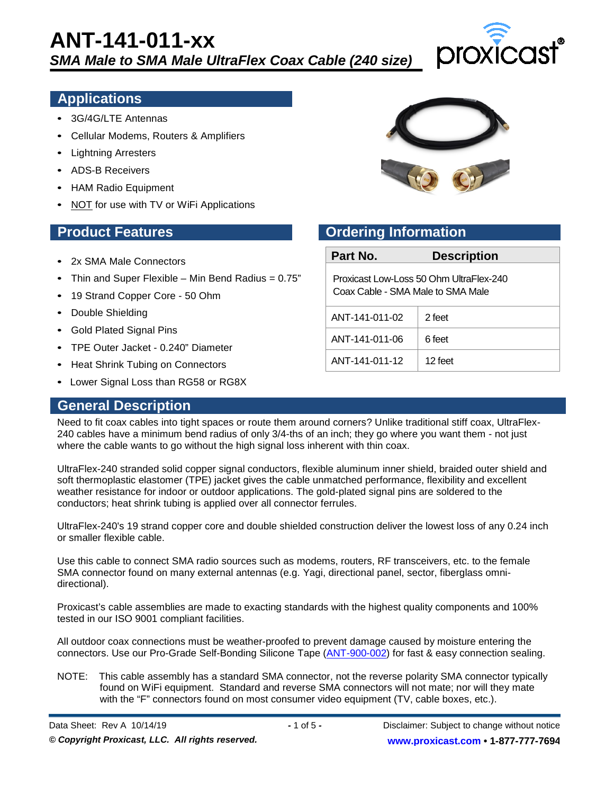

# **Applications**

- 3G/4G/LTE Antennas
- Cellular Modems, Routers & Amplifiers
- Lightning Arresters
- ADS-B Receivers
- HAM Radio Equipment
- NOT for use with TV or WiFi Applications

- 2x SMA Male Connectors
- Thin and Super Flexible Min Bend Radius =  $0.75$ "
- 19 Strand Copper Core 50 Ohm
- Double Shielding
- Gold Plated Signal Pins
- TPE Outer Jacket 0.240" Diameter
- Heat Shrink Tubing on Connectors
- Lower Signal Loss than RG58 or RG8X

#### **General Description**



# **Product Features Construction Product Features Ordering Information**

| Part No.                                                                     | <b>Description</b> |  |
|------------------------------------------------------------------------------|--------------------|--|
| Proxicast Low-Loss 50 Ohm UltraFlex-240<br>Coax Cable - SMA Male to SMA Male |                    |  |
| ANT-141-011-02                                                               | 2 feet             |  |
| ANT-141-011-06                                                               | 6 feet             |  |
| ANT-141-011-12                                                               | 12 feet            |  |

Need to fit coax cables into tight spaces or route them around corners? Unlike traditional stiff coax, UltraFlex-240 cables have a minimum bend radius of only 3/4-ths of an inch; they go where you want them - not just where the cable wants to go without the high signal loss inherent with thin coax.

UltraFlex-240 stranded solid copper signal conductors, flexible aluminum inner shield, braided outer shield and soft thermoplastic elastomer (TPE) jacket gives the cable unmatched performance, flexibility and excellent weather resistance for indoor or outdoor applications. The gold-plated signal pins are soldered to the conductors; heat shrink tubing is applied over all connector ferrules.

UltraFlex-240's 19 strand copper core and double shielded construction deliver the lowest loss of any 0.24 inch or smaller flexible cable.

Use this cable to connect SMA radio sources such as modems, routers, RF transceivers, etc. to the female SMA connector found on many external antennas (e.g. Yagi, directional panel, sector, fiberglass omnidirectional).

Proxicast's cable assemblies are made to exacting standards with the highest quality components and 100% tested in our ISO 9001 compliant facilities.

All outdoor coax connections must be weather-proofed to prevent damage caused by moisture entering the connectors. Use our Pro-Grade Self-Bonding Silicone Tape [\(ANT-900-002\)](https://www.proxicast.com/tape) for fast & easy connection sealing.

NOTE: This cable assembly has a standard SMA connector, not the reverse polarity SMA connector typically found on WiFi equipment. Standard and reverse SMA connectors will not mate; nor will they mate with the "F" connectors found on most consumer video equipment (TV, cable boxes, etc.).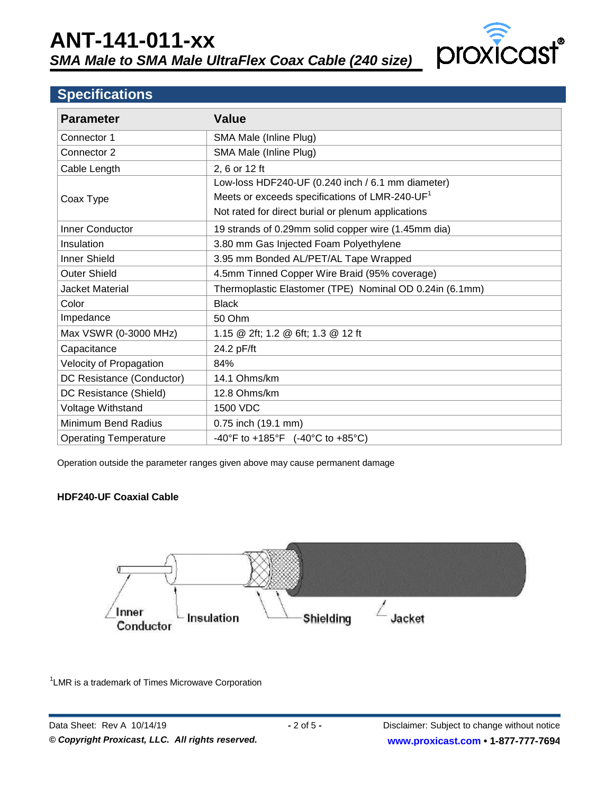

# **Specifications**

| <b>Parameter</b>             | <b>Value</b>                                               |  |  |
|------------------------------|------------------------------------------------------------|--|--|
| Connector 1                  | SMA Male (Inline Plug)                                     |  |  |
| Connector 2                  | SMA Male (Inline Plug)                                     |  |  |
| Cable Length                 | 2, 6 or 12 ft                                              |  |  |
|                              | Low-loss HDF240-UF (0.240 inch / 6.1 mm diameter)          |  |  |
| Coax Type                    | Meets or exceeds specifications of LMR-240-UF <sup>1</sup> |  |  |
|                              | Not rated for direct burial or plenum applications         |  |  |
| Inner Conductor              | 19 strands of 0.29mm solid copper wire (1.45mm dia)        |  |  |
| Insulation                   | 3.80 mm Gas Injected Foam Polyethylene                     |  |  |
| <b>Inner Shield</b>          | 3.95 mm Bonded AL/PET/AL Tape Wrapped                      |  |  |
| <b>Outer Shield</b>          | 4.5mm Tinned Copper Wire Braid (95% coverage)              |  |  |
| Jacket Material              | Thermoplastic Elastomer (TPE) Nominal OD 0.24in (6.1mm)    |  |  |
| Color                        | <b>Black</b>                                               |  |  |
| Impedance                    | 50 Ohm                                                     |  |  |
| Max VSWR (0-3000 MHz)        | 1.15 @ 2ft; 1.2 @ 6ft; 1.3 @ 12 ft                         |  |  |
| Capacitance                  | 24.2 pF/ft                                                 |  |  |
| Velocity of Propagation      | 84%                                                        |  |  |
| DC Resistance (Conductor)    | 14.1 Ohms/km                                               |  |  |
| DC Resistance (Shield)       | 12.8 Ohms/km                                               |  |  |
| Voltage Withstand            | 1500 VDC                                                   |  |  |
| Minimum Bend Radius          | 0.75 inch (19.1 mm)                                        |  |  |
| <b>Operating Temperature</b> | -40°F to +185°F $(-40^{\circ}$ C to +85°C)                 |  |  |

Operation outside the parameter ranges given above may cause permanent damage

#### **HDF240-UF Coaxial Cable**



<sup>1</sup> LMR is a trademark of Times Microwave Corporation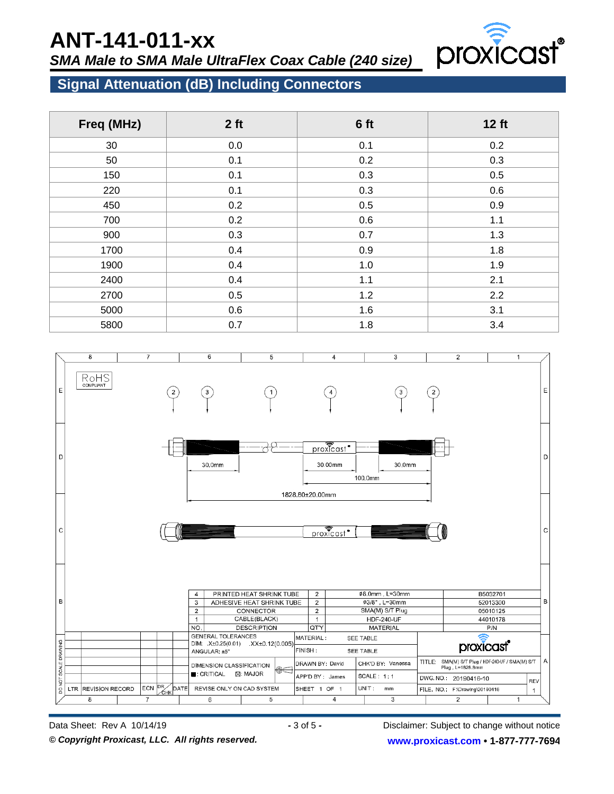# **ANT-141-011-xx**

*SMA Male to SMA Male UltraFlex Coax Cable (240 size)*



# **Signal Attenuation (dB) Including Connectors**

| Freq (MHz) | 2 <sub>ft</sub> | 6 ft | 12 ft |  |
|------------|-----------------|------|-------|--|
| 30         | 0.0             | 0.1  | 0.2   |  |
| 50         | 0.1             | 0.2  | 0.3   |  |
| 150        | 0.1             | 0.3  | 0.5   |  |
| 220        | 0.1             | 0.3  | 0.6   |  |
| 450        | 0.2             | 0.5  | 0.9   |  |
| 700        | 0.2             | 0.6  | 1.1   |  |
| 900        | 0.3             | 0.7  | 1.3   |  |
| 1700       | 0.4             | 0.9  | 1.8   |  |
| 1900       | 0.4             | 1.0  | 1.9   |  |
| 2400       | 0.4             | 1.1  | 2.1   |  |
| 2700       | 0.5             | 1.2  | 2.2   |  |
| 5000       | 0.6             | 1.6  | 3.1   |  |
| 5800       | 0.7             | 1.8  | 3.4   |  |



Disclaimer: Subject to change without notice **[www.proxicast.com](http://www.proxicast.com/) • 1-877-777-7694**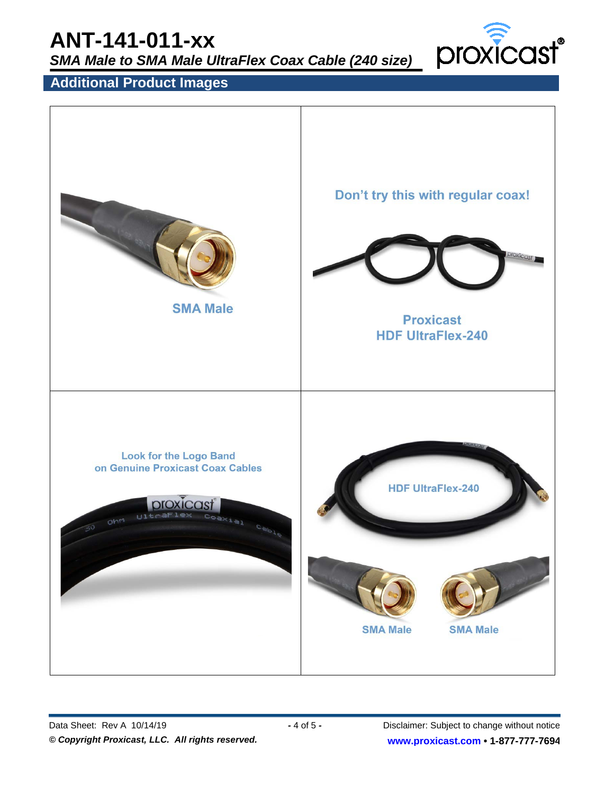# **ANT-141-011-xx**

*SMA Male to SMA Male UltraFlex Coax Cable (240 size)*



# **Additional Product Images**